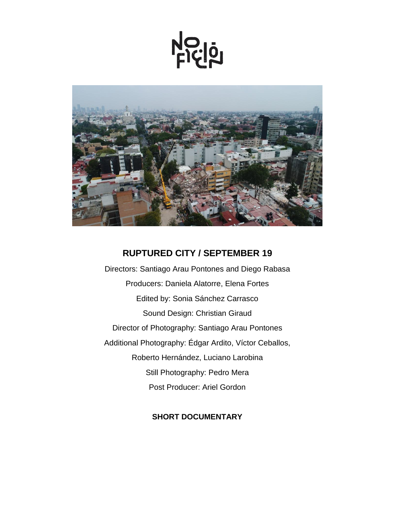<u>Ficiol</u>



# **RUPTURED CITY / SEPTEMBER 19**

Directors: Santiago Arau Pontones and Diego Rabasa Producers: Daniela Alatorre, Elena Fortes Edited by: Sonia Sánchez Carrasco Sound Design: Christian Giraud Director of Photography: Santiago Arau Pontones Additional Photography: Édgar Ardito, Víctor Ceballos, Roberto Hernández, Luciano Larobina Still Photography: Pedro Mera Post Producer: Ariel Gordon

## **SHORT DOCUMENTARY**